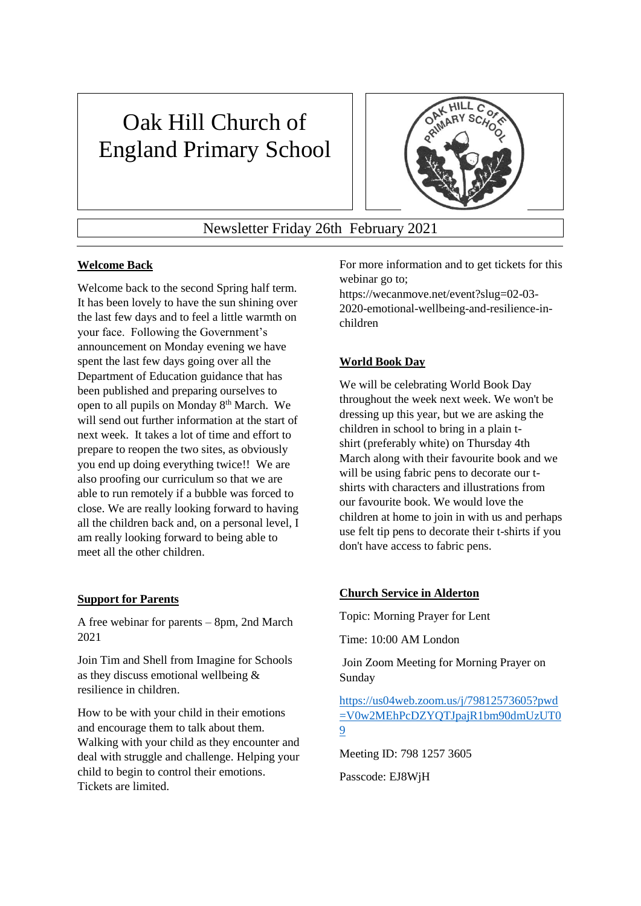# Oak Hill Church of England Primary School



Newsletter Friday 26th February 2021

# **Welcome Back**

Welcome back to the second Spring half term. It has been lovely to have the sun shining over the last few days and to feel a little warmth on your face. Following the Government's announcement on Monday evening we have spent the last few days going over all the Department of Education guidance that has been published and preparing ourselves to open to all pupils on Monday 8<sup>th</sup> March. We will send out further information at the start of next week. It takes a lot of time and effort to prepare to reopen the two sites, as obviously you end up doing everything twice!! We are also proofing our curriculum so that we are able to run remotely if a bubble was forced to close. We are really looking forward to having all the children back and, on a personal level, I am really looking forward to being able to meet all the other children.

# **Support for Parents**

A free webinar for parents – 8pm, 2nd March 2021

Join Tim and Shell from Imagine for Schools as they discuss emotional wellbeing & resilience in children.

How to be with your child in their emotions and encourage them to talk about them. Walking with your child as they encounter and deal with struggle and challenge. Helping your child to begin to control their emotions. Tickets are limited.

For more information and to get tickets for this webinar go to; https://wecanmove.net/event?slug=02-03- 2020-emotional-wellbeing-and-resilience-inchildren

# **World Book Day**

We will be celebrating World Book Day throughout the week next week. We won't be dressing up this year, but we are asking the children in school to bring in a plain tshirt (preferably white) on Thursday 4th March along with their favourite book and we will be using fabric pens to decorate our tshirts with characters and illustrations from our favourite book. We would love the children at home to join in with us and perhaps use felt tip pens to decorate their t-shirts if you don't have access to fabric pens.

# **Church Service in Alderton**

Topic: Morning Prayer for Lent

Time: 10:00 AM London

Join Zoom Meeting for Morning Prayer on Sunday

[https://us04web.zoom.us/j/79812573605?pwd](https://us04web.zoom.us/j/79812573605?pwd=V0w2MEhPcDZYQTJpajR1bm90dmUzUT09) [=V0w2MEhPcDZYQTJpajR1bm90dmUzUT0](https://us04web.zoom.us/j/79812573605?pwd=V0w2MEhPcDZYQTJpajR1bm90dmUzUT09) [9](https://us04web.zoom.us/j/79812573605?pwd=V0w2MEhPcDZYQTJpajR1bm90dmUzUT09)

Meeting ID: 798 1257 3605

Passcode: EJ8WjH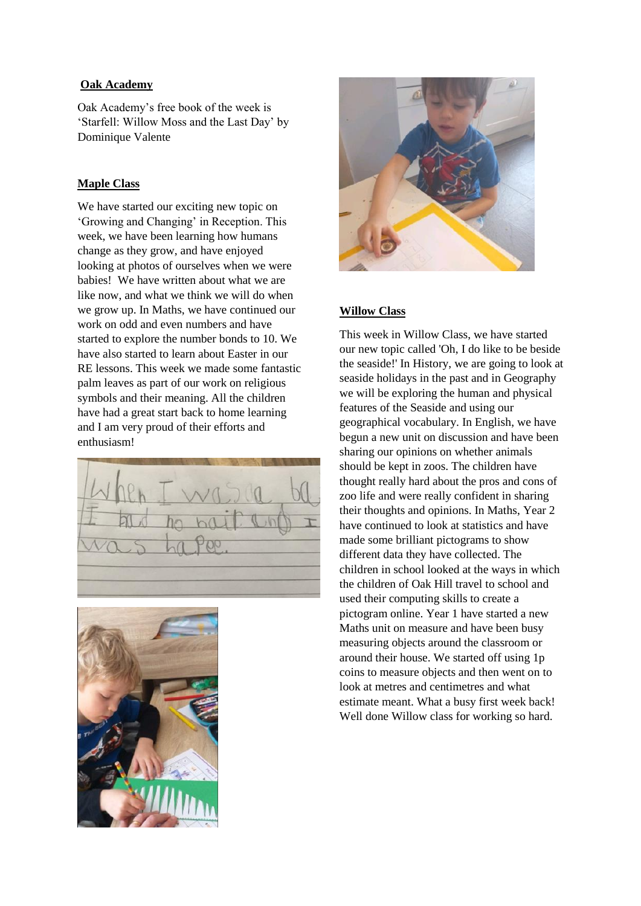#### **Oak Academy**

Oak Academy's free book of the week is 'Starfell: Willow Moss and the Last Day' by Dominique Valente

#### **Maple Class**

We have started our exciting new topic on 'Growing and Changing' in Reception. This week, we have been learning how humans change as they grow, and have enjoyed looking at photos of ourselves when we were babies! We have written about what we are like now, and what we think we will do when we grow up. In Maths, we have continued our work on odd and even numbers and have started to explore the number bonds to 10. We have also started to learn about Easter in our RE lessons. This week we made some fantastic palm leaves as part of our work on religious symbols and their meaning. All the children have had a great start back to home learning and I am very proud of their efforts and enthusiasm!







#### **Willow Class**

This week in Willow Class, we have started our new topic called 'Oh, I do like to be beside the seaside!' In History, we are going to look at seaside holidays in the past and in Geography we will be exploring the human and physical features of the Seaside and using our geographical vocabulary. In English, we have begun a new unit on discussion and have been sharing our opinions on whether animals should be kept in zoos. The children have thought really hard about the pros and cons of zoo life and were really confident in sharing their thoughts and opinions. In Maths, Year 2 have continued to look at statistics and have made some brilliant pictograms to show different data they have collected. The children in school looked at the ways in which the children of Oak Hill travel to school and used their computing skills to create a pictogram online. Year 1 have started a new Maths unit on measure and have been busy measuring objects around the classroom or around their house. We started off using 1p coins to measure objects and then went on to look at metres and centimetres and what estimate meant. What a busy first week back! Well done Willow class for working so hard.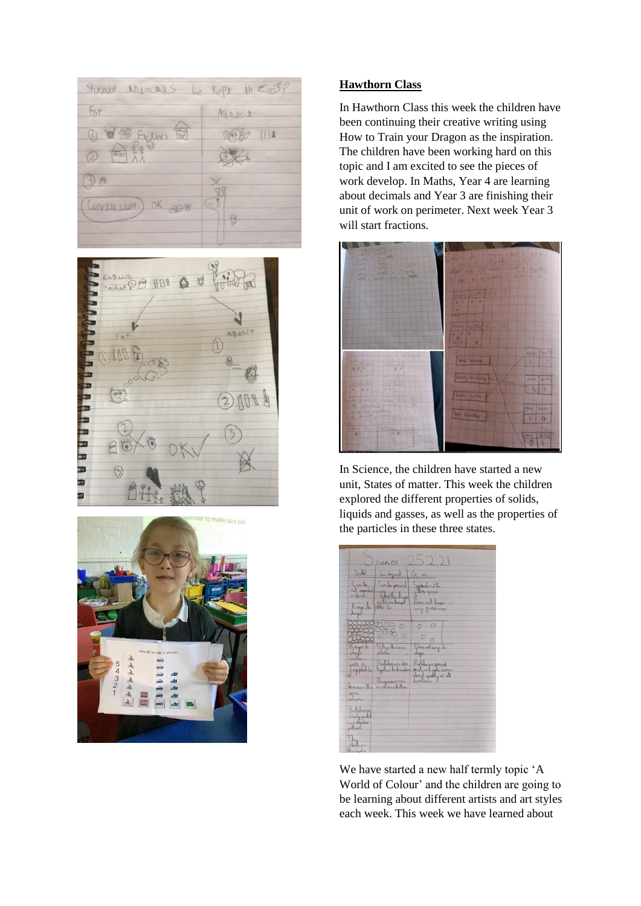





#### **Hawthorn Class**

In Hawthorn Class this week the children have been continuing their creative writing using How to Train your Dragon as the inspiration. The children have been working hard on this topic and I am excited to see the pieces of work develop. In Maths, Year 4 are learning about decimals and Year 3 are finishing their unit of work on perimeter. Next week Year 3 will start fractions.



In Science, the children have started a new unit, States of matter. This week the children explored the different properties of solids, liquids and gasses, as well as the properties of the particles in these three states.

|                                                                                                                                                                                    | cience                                                                                                               | 25.2.21                                                                           |
|------------------------------------------------------------------------------------------------------------------------------------------------------------------------------------|----------------------------------------------------------------------------------------------------------------------|-----------------------------------------------------------------------------------|
| <b>Dute</b>                                                                                                                                                                        | Lingued                                                                                                              | Coc. on                                                                           |
| Sanker<br>ortent<br>Kanile<br>Juge.                                                                                                                                                | Contegories<br>Retailed                                                                                              | Sprangentts<br>Gill as space<br>Desnot Lage<br>say girlability                    |
| <b>Bitraid</b><br>shuin<br><b>SARDANCH</b><br>forte M.<br>Papplette<br><b>Representative</b><br>Sankhik<br><b><i><u>University</u></i></b><br>Particleson<br>dealy pod<br>pottage. | 00000<br>308<br>Stychion<br>Postdysors den<br>legalize kod matery<br><b><i>Regional proper</i></b><br>12 d'architect | Dres not be ap the<br>Probaringspecial<br>qui not job more<br>shoul girlly in all |
| schedwers.<br>thinks                                                                                                                                                               |                                                                                                                      |                                                                                   |

We have started a new half termly topic 'A World of Colour' and the children are going to be learning about different artists and art styles each week. This week we have learned about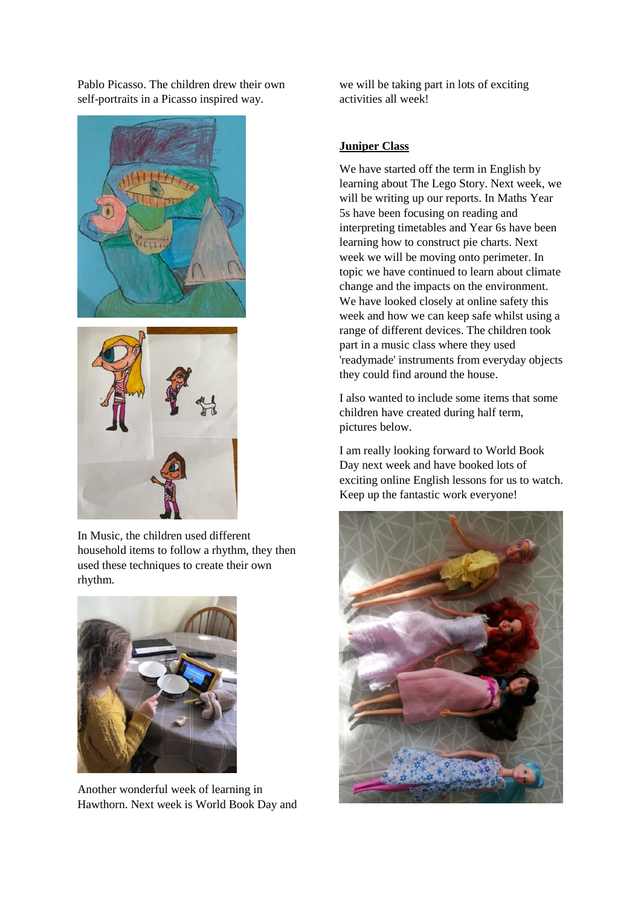Pablo Picasso. The children drew their own self-portraits in a Picasso inspired way.





In Music, the children used different household items to follow a rhythm, they then used these techniques to create their own rhythm.



Another wonderful week of learning in Hawthorn. Next week is World Book Day and

we will be taking part in lots of exciting activities all week!

#### **Juniper Class**

We have started off the term in English by learning about The Lego Story. Next week, we will be writing up our reports. In Maths Year 5s have been focusing on reading and interpreting timetables and Year 6s have been learning how to construct pie charts. Next week we will be moving onto perimeter. In topic we have continued to learn about climate change and the impacts on the environment. We have looked closely at online safety this week and how we can keep safe whilst using a range of different devices. The children took part in a music class where they used 'readymade' instruments from everyday objects they could find around the house.

I also wanted to include some items that some children have created during half term, pictures below.

I am really looking forward to World Book Day next week and have booked lots of exciting online English lessons for us to watch. Keep up the fantastic work everyone!